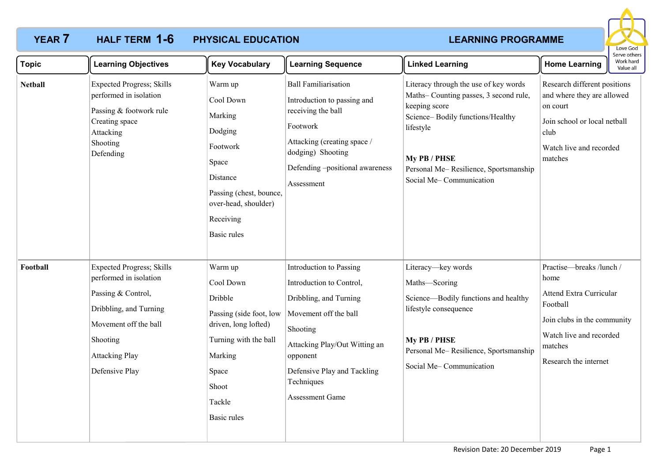

| Topic          | <b>Learning Objectives</b>                                                                                                                                                                  | <b>Key Vocabulary</b>                                                                                                                                             | <b>Learning Sequence</b>                                                                                                                                                                                                        | <b>Linked Learning</b>                                                                                                                                                                                                               | Work hard<br><b>Home Learning</b><br>Value all                                                                                                                               |
|----------------|---------------------------------------------------------------------------------------------------------------------------------------------------------------------------------------------|-------------------------------------------------------------------------------------------------------------------------------------------------------------------|---------------------------------------------------------------------------------------------------------------------------------------------------------------------------------------------------------------------------------|--------------------------------------------------------------------------------------------------------------------------------------------------------------------------------------------------------------------------------------|------------------------------------------------------------------------------------------------------------------------------------------------------------------------------|
| <b>Netball</b> | <b>Expected Progress; Skills</b><br>performed in isolation<br>Passing & footwork rule<br>Creating space<br>Attacking<br>Shooting<br>Defending                                               | Warm up<br>Cool Down<br>Marking<br>Dodging<br>Footwork<br>Space<br>Distance<br>Passing (chest, bounce,<br>over-head, shoulder)<br>Receiving<br><b>Basic rules</b> | <b>Ball Familiarisation</b><br>Introduction to passing and<br>receiving the ball<br>Footwork<br>Attacking (creating space /<br>dodging) Shooting<br>Defending -positional awareness<br>Assessment                               | Literacy through the use of key words<br>Maths-Counting passes, 3 second rule,<br>keeping score<br>Science-Bodily functions/Healthy<br>lifestyle<br>My PB / PHSE<br>Personal Me-Resilience, Sportsmanship<br>Social Me-Communication | Research different positions<br>and where they are allowed<br>on court<br>Join school or local netball<br>club<br>Watch live and recorded<br>matches                         |
| Football       | <b>Expected Progress</b> ; Skills<br>performed in isolation<br>Passing & Control,<br>Dribbling, and Turning<br>Movement off the ball<br>Shooting<br><b>Attacking Play</b><br>Defensive Play | Warm up<br>Cool Down<br>Dribble<br>Passing (side foot, low<br>driven, long lofted)<br>Turning with the ball<br>Marking<br>Space<br>Shoot<br>Tackle<br>Basic rules | Introduction to Passing<br>Introduction to Control,<br>Dribbling, and Turning<br>Movement off the ball<br>Shooting<br>Attacking Play/Out Witting an<br>opponent<br>Defensive Play and Tackling<br>Techniques<br>Assessment Game | Literacy-key words<br>Maths-Scoring<br>Science-Bodily functions and healthy<br>lifestyle consequence<br>My PB / PHSE<br>Personal Me-Resilience, Sportsmanship<br>Social Me-Communication                                             | Practise-breaks /lunch /<br>home<br><b>Attend Extra Curricular</b><br>Football<br>Join clubs in the community<br>Watch live and recorded<br>matches<br>Research the internet |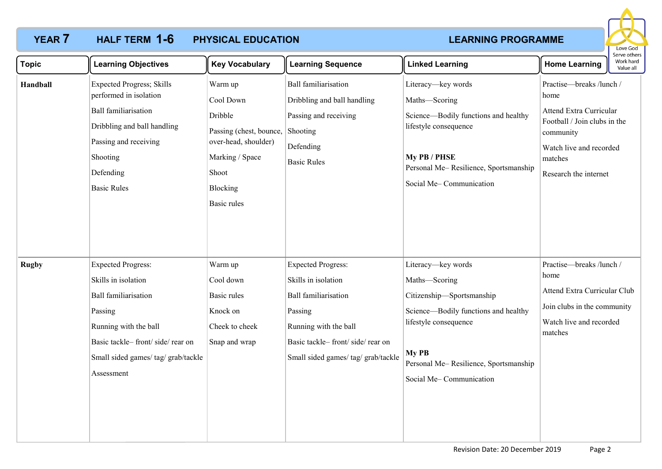

| <b>Topic</b> | <b>Learning Objectives</b>                                                                                                                                                                                  | <b>Key Vocabulary</b>                                                                                                                            | <b>Learning Sequence</b>                                                                                                                                                                      | <b>Linked Learning</b>                                                                                                                                                                                         | <b>Home Learning</b>                                                                                                                                                           | serve others<br>Work hard<br>Value all |
|--------------|-------------------------------------------------------------------------------------------------------------------------------------------------------------------------------------------------------------|--------------------------------------------------------------------------------------------------------------------------------------------------|-----------------------------------------------------------------------------------------------------------------------------------------------------------------------------------------------|----------------------------------------------------------------------------------------------------------------------------------------------------------------------------------------------------------------|--------------------------------------------------------------------------------------------------------------------------------------------------------------------------------|----------------------------------------|
| Handball     | <b>Expected Progress; Skills</b><br>performed in isolation<br><b>Ball familiarisation</b><br>Dribbling and ball handling<br>Passing and receiving<br>Shooting<br>Defending<br><b>Basic Rules</b>            | Warm up<br>Cool Down<br>Dribble<br>Passing (chest, bounce,<br>over-head, shoulder)<br>Marking / Space<br>Shoot<br>Blocking<br><b>Basic rules</b> | <b>Ball familiarisation</b><br>Dribbling and ball handling<br>Passing and receiving<br>Shooting<br>Defending<br><b>Basic Rules</b>                                                            | Literacy-key words<br>Maths-Scoring<br>Science-Bodily functions and healthy<br>lifestyle consequence<br>My PB / PHSE<br>Personal Me-Resilience, Sportsmanship<br>Social Me-Communication                       | Practise-breaks /lunch /<br>home<br><b>Attend Extra Curricular</b><br>Football / Join clubs in the<br>community<br>Watch live and recorded<br>matches<br>Research the internet |                                        |
| <b>Rugby</b> | <b>Expected Progress:</b><br>Skills in isolation<br><b>Ball familiarisation</b><br>Passing<br>Running with the ball<br>Basic tackle-front/side/rear on<br>Small sided games/ tag/ grab/tackle<br>Assessment | Warm up<br>Cool down<br><b>Basic rules</b><br>Knock on<br>Cheek to cheek<br>Snap and wrap                                                        | <b>Expected Progress:</b><br>Skills in isolation<br><b>Ball familiarisation</b><br>Passing<br>Running with the ball<br>Basic tackle-front/side/rear on<br>Small sided games/ tag/ grab/tackle | Literacy-key words<br>Maths-Scoring<br>Citizenship-Sportsmanship<br>Science-Bodily functions and healthy<br>lifestyle consequence<br>My PB<br>Personal Me-Resilience, Sportsmanship<br>Social Me-Communication | Practise-breaks /lunch /<br>home<br>Attend Extra Curricular Club<br>Join clubs in the community<br>Watch live and recorded<br>matches                                          |                                        |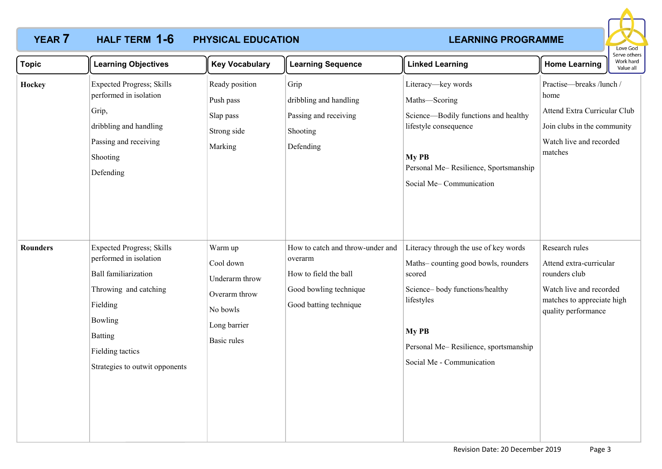

| <b>Topic</b>    | <b>Learning Objectives</b>                                                                                                                                                                                        | <b>Key Vocabulary</b>                                                                              | <b>Learning Sequence</b>                                                                                                 | <b>Linked Learning</b>                                                                                                                                                                                                | <b>Home Learning</b>                                                                                                                       | יו אר מוורו -<br>Work hard<br>Value all |
|-----------------|-------------------------------------------------------------------------------------------------------------------------------------------------------------------------------------------------------------------|----------------------------------------------------------------------------------------------------|--------------------------------------------------------------------------------------------------------------------------|-----------------------------------------------------------------------------------------------------------------------------------------------------------------------------------------------------------------------|--------------------------------------------------------------------------------------------------------------------------------------------|-----------------------------------------|
| Hockey          | <b>Expected Progress; Skills</b><br>performed in isolation<br>Grip,<br>dribbling and handling<br>Passing and receiving<br>Shooting<br>Defending                                                                   | Ready position<br>Push pass<br>Slap pass<br>Strong side<br>Marking                                 | Grip<br>dribbling and handling<br>Passing and receiving<br>Shooting<br>Defending                                         | Literacy-key words<br>Maths-Scoring<br>Science-Bodily functions and healthy<br>lifestyle consequence<br>My PB<br>Personal Me-Resilience, Sportsmanship<br>Social Me-Communication                                     | Practise-breaks /lunch /<br>home<br>Attend Extra Curricular Club<br>Join clubs in the community<br>Watch live and recorded<br>matches      |                                         |
| <b>Rounders</b> | <b>Expected Progress; Skills</b><br>performed in isolation<br><b>Ball familiarization</b><br>Throwing and catching<br>Fielding<br>Bowling<br><b>Batting</b><br>Fielding tactics<br>Strategies to outwit opponents | Warm up<br>Cool down<br>Underarm throw<br>Overarm throw<br>No bowls<br>Long barrier<br>Basic rules | How to catch and throw-under and<br>overarm<br>How to field the ball<br>Good bowling technique<br>Good batting technique | Literacy through the use of key words<br>Maths-counting good bowls, rounders<br>scored<br>Science-body functions/healthy<br>lifestyles<br>My PB<br>Personal Me-Resilience, sportsmanship<br>Social Me - Communication | Research rules<br>Attend extra-curricular<br>rounders club<br>Watch live and recorded<br>matches to appreciate high<br>quality performance |                                         |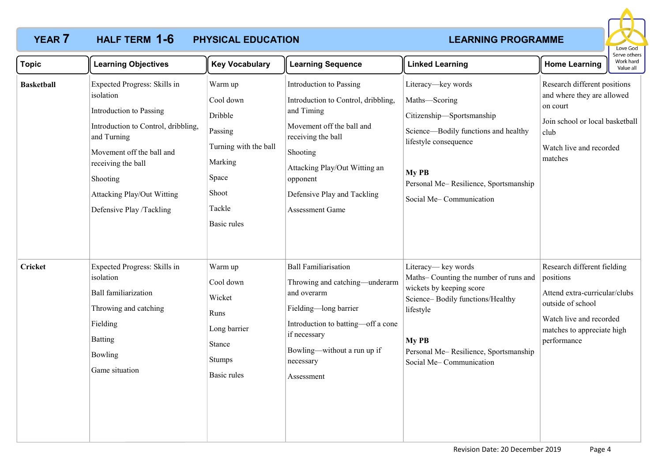

| <b>Topic</b>      | <b>Learning Objectives</b>                                                                                                                                                                                                                                 | <b>Key Vocabulary</b>                                                                                                            | <b>Learning Sequence</b>                                                                                                                                                                                                                          | <b>Linked Learning</b>                                                                                                                                                                                                 | <b>Home Learning</b>                                                                                                                                                   | Work hard<br>Value all |
|-------------------|------------------------------------------------------------------------------------------------------------------------------------------------------------------------------------------------------------------------------------------------------------|----------------------------------------------------------------------------------------------------------------------------------|---------------------------------------------------------------------------------------------------------------------------------------------------------------------------------------------------------------------------------------------------|------------------------------------------------------------------------------------------------------------------------------------------------------------------------------------------------------------------------|------------------------------------------------------------------------------------------------------------------------------------------------------------------------|------------------------|
| <b>Basketball</b> | Expected Progress: Skills in<br>isolation<br>Introduction to Passing<br>Introduction to Control, dribbling,<br>and Turning<br>Movement off the ball and<br>receiving the ball<br>Shooting<br><b>Attacking Play/Out Witting</b><br>Defensive Play /Tackling | Warm up<br>Cool down<br>Dribble<br>Passing<br>Turning with the ball<br>Marking<br>Space<br>Shoot<br>Tackle<br><b>Basic rules</b> | Introduction to Passing<br>Introduction to Control, dribbling,<br>and Timing<br>Movement off the ball and<br>receiving the ball<br>Shooting<br>Attacking Play/Out Witting an<br>opponent<br>Defensive Play and Tackling<br><b>Assessment Game</b> | Literacy-key words<br>Maths-Scoring<br>Citizenship-Sportsmanship<br>Science-Bodily functions and healthy<br>lifestyle consequence<br>My PB<br>Personal Me-Resilience, Sportsmanship<br>Social Me-Communication         | Research different positions<br>and where they are allowed<br>on court<br>Join school or local basketball<br>club<br>Watch live and recorded<br>matches                |                        |
| <b>Cricket</b>    | Expected Progress: Skills in<br>isolation<br><b>Ball familiarization</b><br>Throwing and catching<br>Fielding<br><b>Batting</b><br>Bowling<br>Game situation                                                                                               | Warm up<br>Cool down<br>Wicket<br>Runs<br>Long barrier<br>Stance<br><b>Stumps</b><br>Basic rules                                 | <b>Ball Familiarisation</b><br>Throwing and catching—underarm<br>and overarm<br>Fielding-long barrier<br>Introduction to batting-off a cone<br>if necessary<br>Bowling-without a run up if<br>necessary<br>Assessment                             | Literacy— key words<br>Maths-Counting the number of runs and<br>wickets by keeping score<br>Science-Bodily functions/Healthy<br>lifestyle<br>My PB<br>Personal Me-Resilience, Sportsmanship<br>Social Me-Communication | Research different fielding<br>positions<br>Attend extra-curricular/clubs<br>outside of school<br>Watch live and recorded<br>matches to appreciate high<br>performance |                        |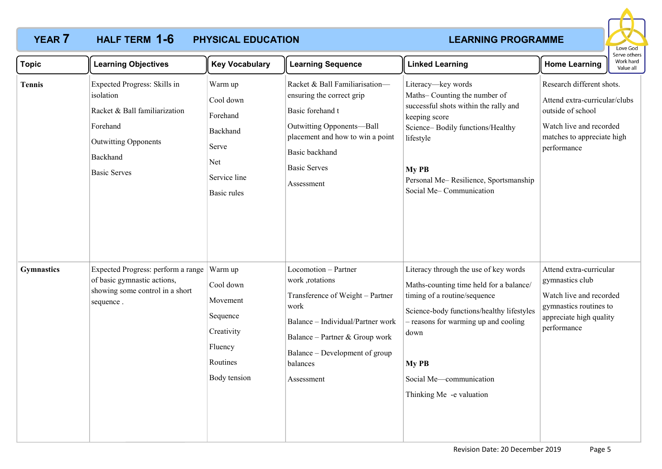

| <b>Topic</b>      | <b>Learning Objectives</b>                                                                                                                               | <b>Key Vocabulary</b>                                                                              | <b>Learning Sequence</b>                                                                                                                                                                                               | <b>Linked Learning</b>                                                                                                                                                                                                                                                        | <b>Home Learning</b>                                                                                                                                    | יסו עם טנווכו א<br>Work hard<br>Value all |
|-------------------|----------------------------------------------------------------------------------------------------------------------------------------------------------|----------------------------------------------------------------------------------------------------|------------------------------------------------------------------------------------------------------------------------------------------------------------------------------------------------------------------------|-------------------------------------------------------------------------------------------------------------------------------------------------------------------------------------------------------------------------------------------------------------------------------|---------------------------------------------------------------------------------------------------------------------------------------------------------|-------------------------------------------|
| <b>Tennis</b>     | Expected Progress: Skills in<br>isolation<br>Racket & Ball familiarization<br>Forehand<br><b>Outwitting Opponents</b><br>Backhand<br><b>Basic Serves</b> | Warm up<br>Cool down<br>Forehand<br>Backhand<br>Serve<br>Net<br>Service line<br><b>Basic rules</b> | Racket & Ball Familiarisation-<br>ensuring the correct grip<br>Basic forehand t<br>Outwitting Opponents-Ball<br>placement and how to win a point<br>Basic backhand<br><b>Basic Serves</b><br>Assessment                | Literacy-key words<br>Maths-Counting the number of<br>successful shots within the rally and<br>keeping score<br>Science-Bodily functions/Healthy<br>lifestyle<br>My PB<br>Personal Me-Resilience, Sportsmanship<br>Social Me-Communication                                    | Research different shots.<br>Attend extra-curricular/clubs<br>outside of school<br>Watch live and recorded<br>matches to appreciate high<br>performance |                                           |
| <b>Gymnastics</b> | Expected Progress: perform a range<br>of basic gymnastic actions,<br>showing some control in a short<br>sequence.                                        | Warm up<br>Cool down<br>Movement<br>Sequence<br>Creativity<br>Fluency<br>Routines<br>Body tension  | Locomotion - Partner<br>work ,rotations<br>Transference of Weight - Partner<br>work<br>Balance - Individual/Partner work<br>Balance – Partner & Group work<br>Balance – Development of group<br>balances<br>Assessment | Literacy through the use of key words<br>Maths-counting time held for a balance/<br>timing of a routine/sequence<br>Science-body functions/healthy lifestyles<br>- reasons for warming up and cooling<br>down<br>My PB<br>Social Me-communication<br>Thinking Me -e valuation | Attend extra-curricular<br>gymnastics club<br>Watch live and recorded<br>gymnastics routines to<br>appreciate high quality<br>performance               |                                           |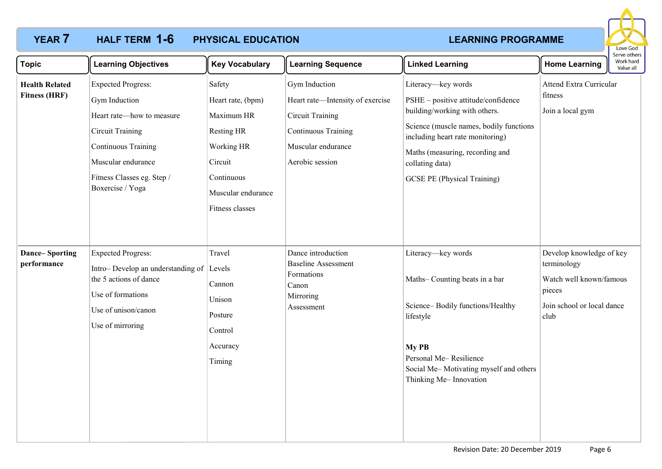

| <b>Topic</b>                                  | <b>Learning Objectives</b>                                                                                                                                                                               | <b>Key Vocabulary</b>                                                                                                                          | <b>Learning Sequence</b>                                                                                                                     | <b>Linked Learning</b>                                                                                                                                                                                                                                                | <b>Home Learning</b>                                                                                               | יסו עם טנווכו א<br>Work hard<br>Value all |
|-----------------------------------------------|----------------------------------------------------------------------------------------------------------------------------------------------------------------------------------------------------------|------------------------------------------------------------------------------------------------------------------------------------------------|----------------------------------------------------------------------------------------------------------------------------------------------|-----------------------------------------------------------------------------------------------------------------------------------------------------------------------------------------------------------------------------------------------------------------------|--------------------------------------------------------------------------------------------------------------------|-------------------------------------------|
| <b>Health Related</b><br><b>Fitness (HRF)</b> | <b>Expected Progress:</b><br>Gym Induction<br>Heart rate—how to measure<br><b>Circuit Training</b><br><b>Continuous Training</b><br>Muscular endurance<br>Fitness Classes eg. Step /<br>Boxercise / Yoga | Safety<br>Heart rate, (bpm)<br>Maximum HR<br><b>Resting HR</b><br>Working HR<br>Circuit<br>Continuous<br>Muscular endurance<br>Fitness classes | Gym Induction<br>Heart rate-Intensity of exercise<br><b>Circuit Training</b><br>Continuous Training<br>Muscular endurance<br>Aerobic session | Literacy-key words<br>PSHE - positive attitude/confidence<br>building/working with others.<br>Science (muscle names, bodily functions<br>including heart rate monitoring)<br>Maths (measuring, recording and<br>collating data)<br><b>GCSE PE (Physical Training)</b> | <b>Attend Extra Curricular</b><br>fitness<br>Join a local gym                                                      |                                           |
| <b>Dance-Sporting</b><br>performance          | <b>Expected Progress:</b><br>Intro-Develop an understanding of Levels<br>the 5 actions of dance<br>Use of formations<br>Use of unison/canon<br>Use of mirroring                                          | Travel<br>Cannon<br>Unison<br>Posture<br>Control<br>Accuracy<br>Timing                                                                         | Dance introduction<br><b>Baseline Assessment</b><br>Formations<br>Canon<br>Mirroring<br>Assessment                                           | Literacy-key words<br>Maths-Counting beats in a bar<br>Science-Bodily functions/Healthy<br>lifestyle<br>My PB<br>Personal Me-Resilience<br>Social Me-Motivating myself and others<br>Thinking Me-Innovation                                                           | Develop knowledge of key<br>terminology<br>Watch well known/famous<br>pieces<br>Join school or local dance<br>club |                                           |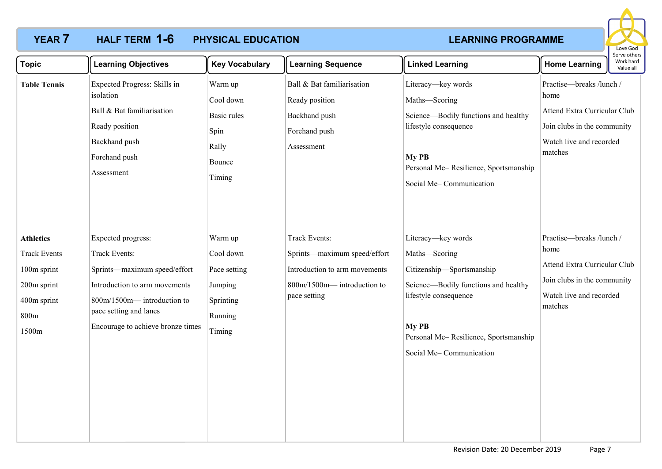

| <b>Topic</b>                                                                                          | <b>Learning Objectives</b>                                                                                                                                                                        | <b>Key Vocabulary</b>                                                             | <b>Learning Sequence</b>                                                                                                            | <b>Linked Learning</b>                                                                                                                                                                                         | Work hard<br><b>Home Learning</b><br>Value all                                                                                        |  |
|-------------------------------------------------------------------------------------------------------|---------------------------------------------------------------------------------------------------------------------------------------------------------------------------------------------------|-----------------------------------------------------------------------------------|-------------------------------------------------------------------------------------------------------------------------------------|----------------------------------------------------------------------------------------------------------------------------------------------------------------------------------------------------------------|---------------------------------------------------------------------------------------------------------------------------------------|--|
| <b>Table Tennis</b>                                                                                   | Expected Progress: Skills in<br>isolation<br>Ball & Bat familiarisation<br>Ready position<br>Backhand push<br>Forehand push<br>Assessment                                                         | Warm up<br>Cool down<br>Basic rules<br>Spin<br>Rally<br>Bounce<br>Timing          | Ball & Bat familiarisation<br>Ready position<br>Backhand push<br>Forehand push<br>Assessment                                        | Literacy-key words<br>Maths-Scoring<br>Science-Bodily functions and healthy<br>lifestyle consequence<br>My PB<br>Personal Me-Resilience, Sportsmanship<br>Social Me-Communication                              | Practise-breaks /lunch /<br>home<br>Attend Extra Curricular Club<br>Join clubs in the community<br>Watch live and recorded<br>matches |  |
| <b>Athletics</b><br><b>Track Events</b><br>100m sprint<br>200m sprint<br>400m sprint<br>800m<br>1500m | Expected progress:<br>Track Events:<br>Sprints-maximum speed/effort<br>Introduction to arm movements<br>800m/1500m-introduction to<br>pace setting and lanes<br>Encourage to achieve bronze times | Warm up<br>Cool down<br>Pace setting<br>Jumping<br>Sprinting<br>Running<br>Timing | <b>Track Events:</b><br>Sprints—maximum speed/effort<br>Introduction to arm movements<br>800m/1500m-introduction to<br>pace setting | Literacy-key words<br>Maths-Scoring<br>Citizenship-Sportsmanship<br>Science-Bodily functions and healthy<br>lifestyle consequence<br>My PB<br>Personal Me-Resilience, Sportsmanship<br>Social Me-Communication | Practise-breaks /lunch /<br>home<br>Attend Extra Curricular Club<br>Join clubs in the community<br>Watch live and recorded<br>matches |  |